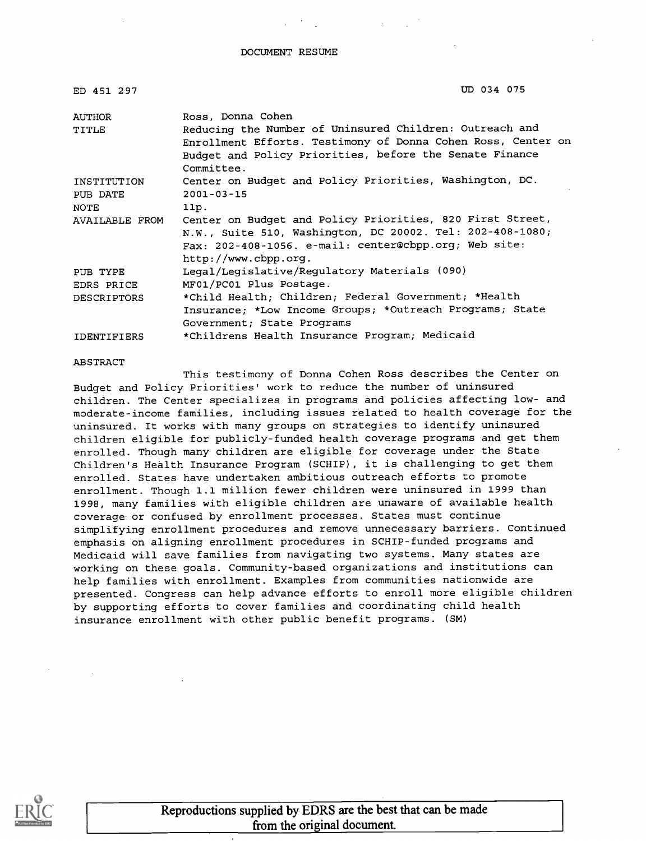#### DOCUMENT RESUME

| ED 451 297         | UD 034 075                                                                                                                                                                                       |
|--------------------|--------------------------------------------------------------------------------------------------------------------------------------------------------------------------------------------------|
| <b>AUTHOR</b>      | Ross, Donna Cohen                                                                                                                                                                                |
| TITLE              | Reducing the Number of Uninsured Children: Outreach and<br>Enrollment Efforts. Testimony of Donna Cohen Ross, Center on<br>Budget and Policy Priorities, before the Senate Finance<br>Committee. |
| INSTITUTION        | Center on Budget and Policy Priorities, Washington, DC.                                                                                                                                          |
| PUB DATE           | $2001 - 03 - 15$                                                                                                                                                                                 |
| NOTE               | 11p.                                                                                                                                                                                             |
| AVAILABLE FROM     | Center on Budget and Policy Priorities, 820 First Street,                                                                                                                                        |
|                    | N.W., Suite 510, Washington, DC 20002. Tel: 202-408-1080;                                                                                                                                        |
|                    | Fax: 202-408-1056. e-mail: center@cbpp.org; Web site:                                                                                                                                            |
|                    | http://www.cbpp.org.                                                                                                                                                                             |
| PUB TYPE           | Legal/Legislative/Regulatory Materials (090)                                                                                                                                                     |
| EDRS PRICE         | MF01/PC01 Plus Postage.                                                                                                                                                                          |
| <b>DESCRIPTORS</b> | *Child Health; Children; Federal Government; *Health                                                                                                                                             |
|                    | Insurance; *Low Income Groups; *Outreach Programs; State                                                                                                                                         |
|                    | Government; State Programs                                                                                                                                                                       |
| <b>IDENTIFIERS</b> | *Childrens Health Insurance Program; Medicaid                                                                                                                                                    |

#### ABSTRACT

This testimony of Donna Cohen Ross describes the Center on Budget and Policy Priorities' work to reduce the number of uninsured children. The Center specializes in programs and policies affecting low- and moderate-income families, including issues related to health coverage for the uninsured. It works with many groups on strategies to identify uninsured children eligible for publicly-funded health coverage programs and get them enrolled. Though many children are eligible for coverage under the State Children's Health Insurance Program (SCHIP), it is challenging to get them enrolled. States have undertaken ambitious outreach efforts to promote enrollment. Though 1.1 million fewer children were uninsured in 1999 than 1998, many families with eligible children are unaware of available health coverage or confused by enrollment processes. States must continue simplifying enrollment procedures and remove unnecessary barriers. Continued emphasis on aligning enrollment procedures in SCHIP-funded programs and Medicaid will save families from navigating two systems. Many states are working on these goals. Community-based organizations and institutions can help families with enrollment. Examples from communities nationwide are presented. Congress can help advance efforts to enroll more eligible children by supporting efforts to cover families and coordinating child health insurance enrollment with other public benefit programs. (SM)

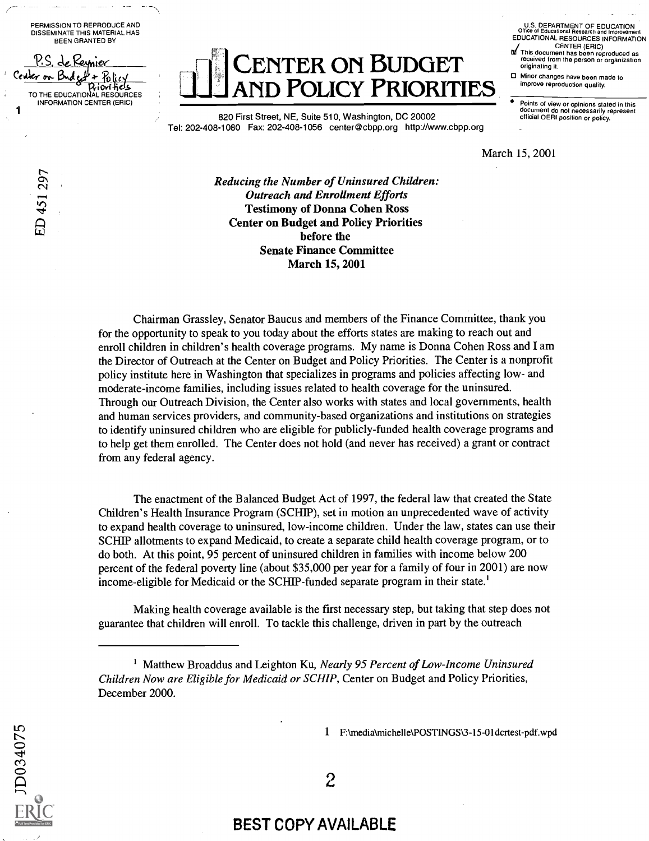PERMISSION TO REPRODUCE AND DISSEMINATE THIS MATERIAL HAS BEEN GRANTED BY

de Reynier

 $\sum_{i=1}^{n}$  $\alpha$ 

Center on Budget +  $86$ 

 $\kappa$ ب

1

D<sub>034075</sub>

Policy<br>iovities TO THE EDUCATIONAL RESOURCES INFORMATION CENTER (ERIC) CENTER ON BUDGET **ND POLICY PRIORITIES** 

820 First Street, NE, Suite 510, Washington, DC 20002 Tel: 202-408-1080 Fax: 202-408-1056 center@cbpp.org http://www.cbpp.org

U.S. DEPARTMENT OF EDUCATION Office of Educational Research and Improvement EDUCATIONAL RESOURCES INFORMATION CENTER (ERIC)

- $M$  This document has been reproduced as received from the person or organization originating it.
- D Minor changes have been made to<br>improve reproduction quality.

Points of view or opinions stated in this document do not necessarily represent official OERI position or policy.

March 15, 2001

Reducing the Number of Uninsured Children: Outreach and Enrollment Efforts Testimony of Donna Cohen Ross Center on Budget and Policy Priorities before the Senate Finance Committee March 15, 2001

Chairman Grassley, Senator Baucus and members of the Finance Committee, thank you for the opportunity to speak to you today about the efforts states are making to reach out and enroll children in children's health coverage programs. My name is Donna Cohen Ross and I am the Director of Outreach at the Center on Budget and Policy Priorities. The Center is a nonprofit policy institute here in Washington that specializes in programs and policies affecting low- and moderate-income families, including issues related to health coverage for the uninsured. Through our Outreach Division, the Center also works with states and local governments, health and human services providers, and community-based organizations and institutions on strategies to identify uninsured children who are eligible for publicly-funded health coverage programs and to help get them enrolled. The Center does not hold (and never has received) a grant or contract from any federal agency.

The enactment of the Balanced Budget Act of 1997, the federal law that created the State Children's Health Insurance Program (SCHIP), set in motion an unprecedented wave of activity to expand health coverage to uninsured, low-income children. Under the law, states can use their SCHIP allotments to expand Medicaid, to create a separate child health coverage program, or to do both. At this point, 95 percent of uninsured children in families with income below 200 percent of the federal poverty line (about \$35,000 per year for a family of four in 2001) are now income-eligible for Medicaid or the SCHIP-funded separate program in their state.'

Making health coverage available is the first necessary step, but taking that step does not guarantee that children will enroll. To tackle this challenge, driven in part by the outreach

<sup>&</sup>lt;sup>1</sup> Matthew Broaddus and Leighton Ku, Nearly 95 Percent of Low-Income Uninsured Children Now are Eligible for Medicaid or SCHIP, Center on Budget and Policy Priorities, December 2000.



### BEST COPY AVAILABLE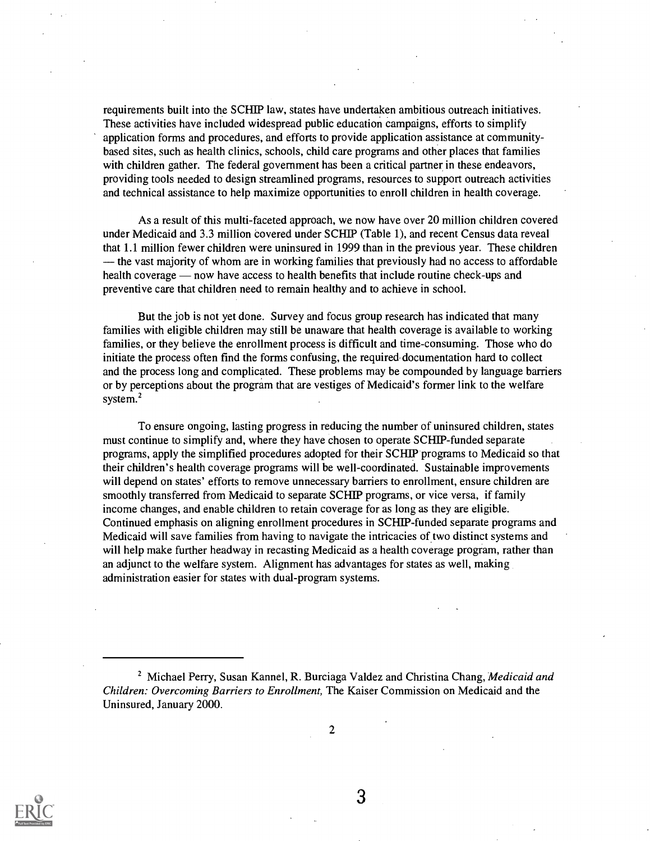requirements built into the SCHIP law, states have undertaken ambitious outreach initiatives. These activities have included widespread public education campaigns, efforts to simplify application forms and procedures, and efforts to provide application assistance at communitybased sites, such as health clinics, schools, child care programs and other places that families with children gather. The federal government has been a critical partner in these endeavors, providing tools needed to design streamlined programs, resources to support outreach activities and technical assistance to help maximize opportunities to enroll children in health coverage.

As a result of this multi-faceted approach, we now have over 20 million children covered under Medicaid and 3.3 million covered under SCHIP (Table 1), and recent Census data reveal that 1.1 million fewer children were uninsured in 1999 than in the previous year. These children  $-$  the vast majority of whom are in working families that previously had no access to affordable health coverage — now have access to health benefits that include routine check-ups and preventive care that children need to remain healthy and to achieve in school.

But the job is not yet done. Survey and focus group research has indicated that many families with eligible children may still be unaware that health coverage is available to working families, or they believe the enrollment process is difficult and time-consuming. Those who do initiate the process often find the forms confusing, the required documentation hard to collect and the process long and complicated. These problems may be compounded by language barriers or by perceptions about the program that are vestiges of Medicaid's former link to the welfare system.<sup>2</sup>

To ensure ongoing, lasting progress in reducing the number of uninsured children, states must continue to simplify and, where they have chosen to operate SCHIP-funded separate programs, apply the simplified procedures adopted for their SCRIP programs to Medicaid so that their children's health coverage programs will be well-coordinated. Sustainable improvements will depend on states' efforts to remove unnecessary barriers to enrollment, ensure children are smoothly transferred from Medicaid to separate SCHIP programs, or vice versa, if family income changes, and enable children to retain coverage for as long as they are eligible. Continued emphasis on aligning enrollment procedures in SCRIP- funded separate programs and Medicaid will save families from having to navigate the intricacies of two distinct systems and will help make further headway in recasting Medicaid as a health coverage program, rather than an adjunct to the welfare system. Alignment has advantages for states as well, making administration easier for states with dual-program systems.

2



<sup>&</sup>lt;sup>2</sup> Michael Perry, Susan Kannel, R. Burciaga Valdez and Christina Chang, Medicaid and Children: Overcoming Barriers to Enrollment, The Kaiser Commission on Medicaid and the Uninsured, January 2000.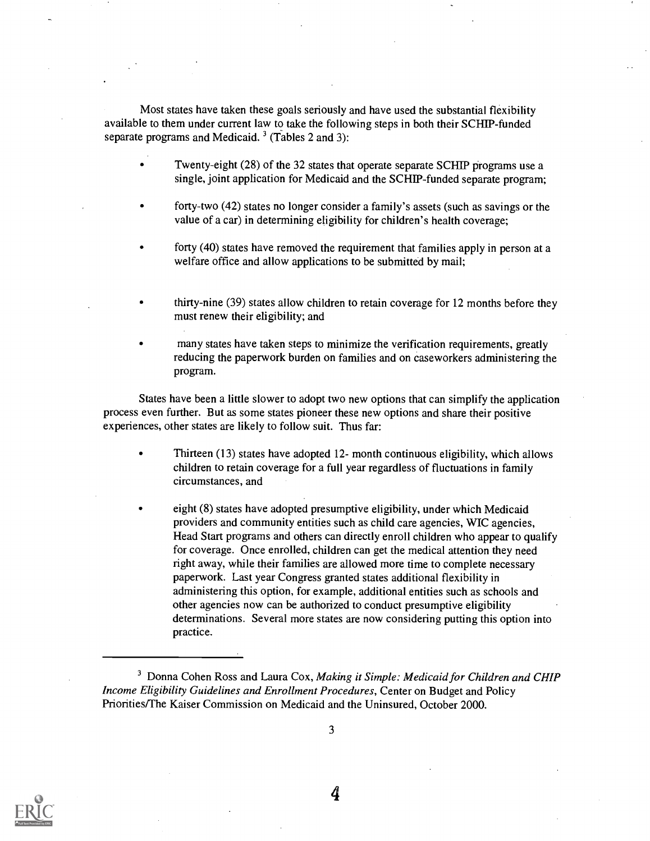Most states have taken these goals seriously and have used the substantial flexibility available to them under current law to take the following steps in both their SCHIP-funded separate programs and Medicaid.<sup>3</sup> (Tables 2 and 3):

- Twenty-eight (28) of the 32 states that operate separate SCHIP programs use a single, joint application for Medicaid and the SCHIP-funded separate program;
- forty-two (42) states no longer consider a family's assets (such as savings or the value of a car) in determining eligibility for children's health coverage;
- forty (40) states have removed the requirement that families apply in person at a welfare office and allow applications to be submitted by mail;
- thirty-nine (39) states allow children to retain coverage for 12 months before they must renew their eligibility; and
- many states have taken steps to minimize the verification requirements, greatly reducing the paperwork burden on families and on caseworkers administering the program.

States have been a little slower to adopt two new options that can simplify the application process even further. But as some states pioneer these new options and share their positive experiences, other states are likely to follow suit. Thus far:

- Thirteen (13) states have adopted 12- month continuous eligibility, which allows children to retain coverage for a full year regardless of fluctuations in family circumstances, and
- eight (8) states have adopted presumptive eligibility, under which Medicaid providers and community entities such as child care agencies, WIC agencies, Head Start programs and others can directly enroll children who appear to qualify for coverage. Once enrolled, children can get the medical attention they need right away, while their families are allowed more time to complete necessary paperwork. Last year Congress granted states additional flexibility in administering this option, for example, additional entities such as schools and other agencies now can be authorized to conduct presumptive eligibility determinations. Several more states are now considering putting this option into practice.



<sup>&</sup>lt;sup>3</sup> Donna Cohen Ross and Laura Cox, Making it Simple: Medicaid for Children and CHIP Income Eligibility Guidelines and Enrollment Procedures, Center on Budget and Policy Priorities/The Kaiser Commission on Medicaid and the Uninsured, October 2000.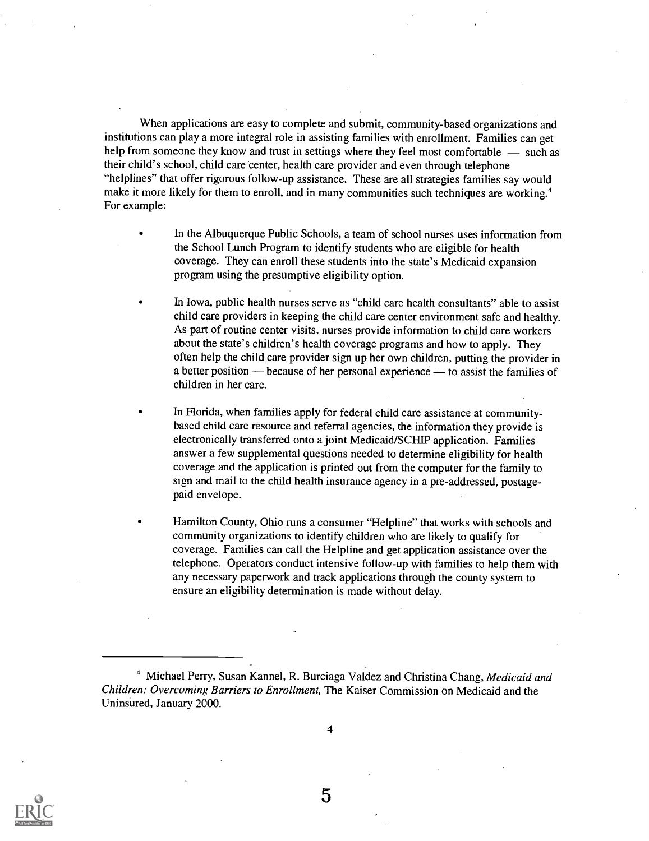When applications are easy to complete and submit, community-based organizations and institutions can play a more integral role in assisting families with enrollment. Families can get help from someone they know and trust in settings where they feel most comfortable  $-$  such as their child's school, child care center, health care provider and even through telephone "helplines" that offer rigorous follow-up assistance. These are all strategies families say would make it more likely for them to enroll, and in many communities such techniques are working.<sup>4</sup> For example:

- In the Albuquerque Public Schools, a team of school nurses uses information from the School Lunch Program to identify students who are eligible for health coverage. They can enroll these students into the state's Medicaid expansion program using the presumptive eligibility option.
- In Iowa, public health nurses serve as "child care health consultants" able to assist child care providers in keeping the child care center environment safe and healthy. As part of routine center visits, nurses provide information to child care workers about the state's children's health coverage programs and how to apply. They often help the child care provider sign up her own children, putting the provider in a better position  $-$  because of her personal experience  $-$  to assist the families of children in her care.
- In Florida, when families apply for federal child care assistance at communitybased child care resource and referral agencies, the information they provide is electronically transferred onto a joint Medicaid/SCRIP application. Families answer a few supplemental questions needed to determine eligibility for health coverage and the application is printed out from the computer for the family to sign and mail to the child health insurance agency in a pre-addressed, postagepaid envelope.
- Hamilton County, Ohio runs a consumer "Helpline" that works with schools and community organizations to identify children who are likely to qualify for coverage. Families can call the Helpline and get application assistance over the telephone. Operators conduct intensive follow-up with families to help them with any necessary paperwork and track applications through the county system to ensure an eligibility determination is made without delay.



<sup>&</sup>lt;sup>4</sup> Michael Perry, Susan Kannel, R. Burciaga Valdez and Christina Chang, Medicaid and Children: Overcoming Barriers to Enrollment, The Kaiser Commission on Medicaid and the Uninsured, January 2000.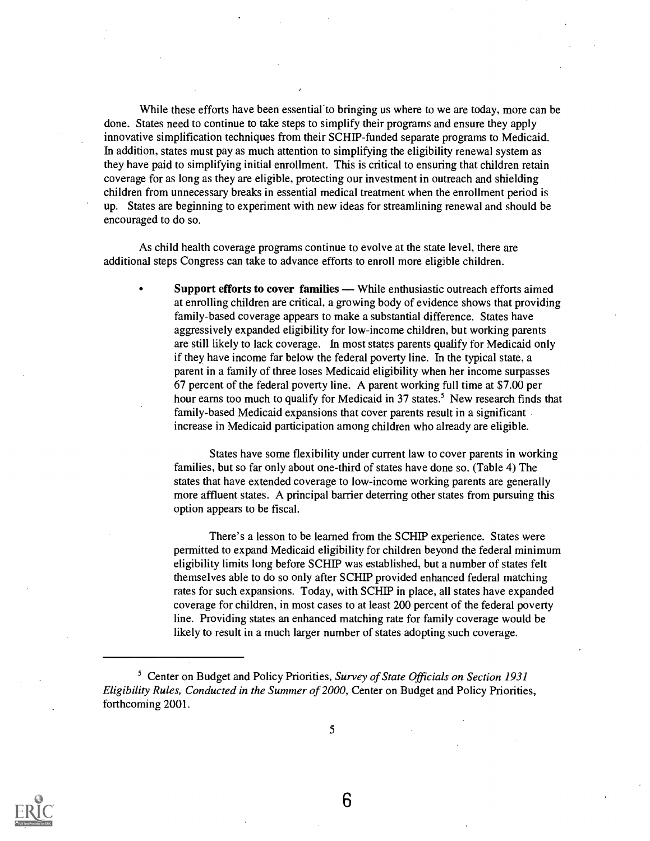While these efforts have been essential to bringing us where to we are today, more can be done. States need to continue to take steps to simplify their programs and ensure they apply innovative simplification techniques from their SCHIP-funded separate programs to Medicaid. In addition, states must pay as much attention to simplifying the eligibility renewal system as they have paid to simplifying initial enrollment. This is critical to ensuring that children retain coverage for as long as they are eligible, protecting our investment in outreach and shielding children from unnecessary breaks in essential medical treatment when the enrollment period is up. States are beginning to experiment with new ideas for streamlining renewal and should be encouraged to do so.

As child health coverage programs continue to evolve at the state level, there are additional steps Congress can take to advance efforts to enroll more eligible children.

Support efforts to cover families — While enthusiastic outreach efforts aimed at enrolling children are critical, a growing body of evidence shows that providing family-based coverage appears to make a substantial difference. States have aggressively expanded eligibility for low-income children, but working parents are still likely to lack coverage. In most states parents qualify for Medicaid only if they have income far below the federal poverty line. In the typical state, a parent in a family of three loses Medicaid eligibility when her income surpasses 67 percent of the federal poverty line. A parent working full time at \$7.00 per hour earns too much to qualify for Medicaid in 37 states.<sup>5</sup> New research finds that family-based Medicaid expansions that cover parents result in a significant increase in Medicaid participation among children who already are eligible.

States have some flexibility under current law to cover parents in working families, but so far only about one-third of states have done so. (Table 4) The states that have extended coverage to low-income working parents are generally more affluent states. A principal barrier deterring other states from pursuing this option appears to be fiscal.

There's a lesson to be learned from the SCHIP experience. States were permitted to expand Medicaid eligibility for children beyond the federal minimum eligibility limits long before SCHIP was established, but a number of states felt themselves able to do so only after SCHIP provided enhanced federal matching rates for such expansions. Today, with SCRIP in place, all states have expanded coverage for children, in most cases to at least 200 percent of the federal poverty line. Providing states an enhanced matching rate for family coverage would be likely to result in a much larger number of states adopting such coverage.



5

<sup>&</sup>lt;sup>5</sup> Center on Budget and Policy Priorities, Survey of State Officials on Section 1931 Eligibility Rules, Conducted in the Summer of 2000, Center on Budget and Policy Priorities, forthcoming 2001.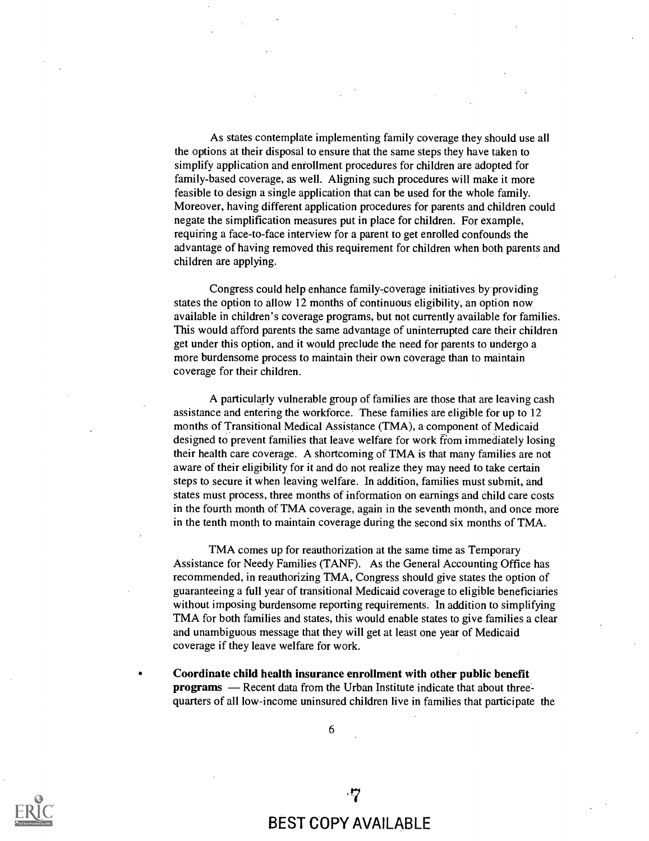As states contemplate implementing family coverage they should use all the options at their disposal to ensure that the same steps they have taken to simplify application and enrollment procedures for children are adopted for family-based coverage, as well. Aligning such procedures will make it more feasible to design a single application that can be used for the whole family. Moreover, having different application procedures for parents and children could negate the simplification measures put in place for children. For example, requiring a face-to-face interview for a parent to get enrolled confounds the advantage of having removed this requirement for children when both parents and children are applying.

Congress could help enhance family-coverage initiatives by providing states the option to allow 12 months of continuous eligibility, an option now available in children's coverage programs, but not currently available for families. This would afford parents the same advantage of uninterrupted care their children get under this option, and it would preclude the need for parents to undergo a more burdensome process to maintain their own coverage than to maintain coverage for their children.

A particularly vulnerable group of families are those that are leaving cash assistance and entering the workforce. These families are eligible for up to 12 months of Transitional Medical Assistance (TMA), a component of Medicaid designed to prevent families that leave welfare for work fiom immediately losing their health care coverage. A shortcoming of TMA is that many families are not aware of their eligibility for it and do not realize they may need to take certain steps to secure it when leaving welfare. In addition, families must submit, and states must process, three months of information on earnings and child care costs in the fourth month of TMA coverage, again in the seventh month, and once more in the tenth month to maintain coverage during the second six months of TMA.

TMA comes up for reauthorization at the same time as Temporary Assistance for Needy Families (TANF). As the General Accounting Office has recommended, in reauthorizing TMA, Congress should give states the option of guaranteeing a full year of transitional Medicaid coverage to eligible beneficiaries without imposing burdensome reporting requirements. In addition to simplifying TMA for both families and states, this would enable states to give families a clear and unambiguous message that they will get at least one year of Medicaid coverage if they leave welfare for work.

Coordinate child health insurance enrollment with other public benefit programs - Recent data from the Urban Institute indicate that about threequarters of all low-income uninsured children live in families that participate the



BEST COPY AVAILABLE

.7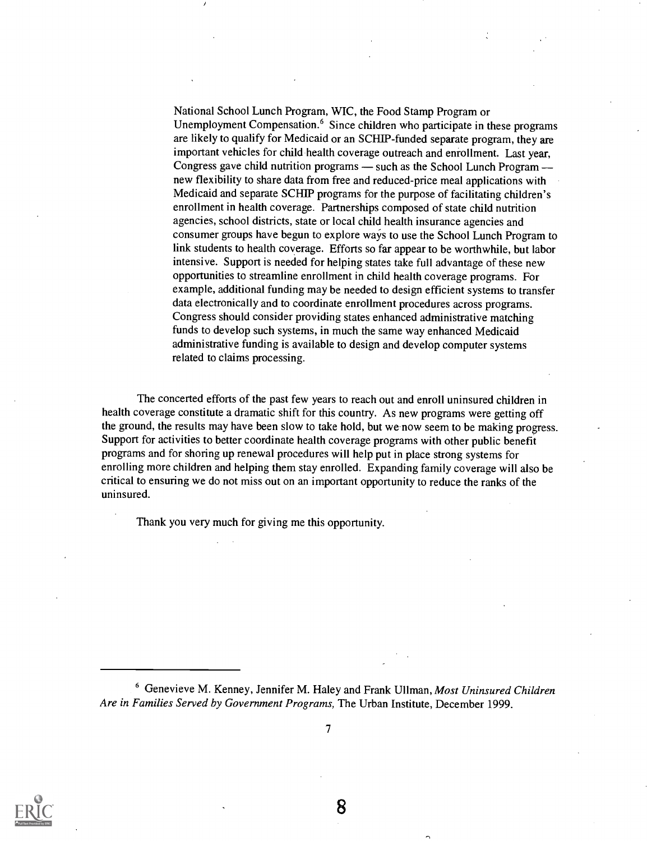National School Lunch Program, WIC, the Food Stamp Program or Unemployment Compensation.<sup>6</sup> Since children who participate in these programs are likely to qualify for Medicaid or an SCHIP-funded separate program, they are important vehicles for child health coverage outreach and enrollment. Last year, Congress gave child nutrition programs  $-$  such as the School Lunch Program  $$ new flexibility to share data from free and reduced-price meal applications with Medicaid and separate SCHIP programs for the purpose of facilitating children's enrollment in health coverage. Partnerships composed of state child nutrition agencies, school districts, state or local child health insurance agencies and consumer groups have begun to explore ways to use the School Lunch Program to link students to health coverage. Efforts so far appear to be worthwhile, but labor intensive. Support is needed for helping states take full advantage of these new opportunities to streamline enrollment in child health coverage programs. For example, additional funding may be needed to design efficient systems to transfer data electronically and to coordinate enrollment procedures across programs. Congress should consider providing states enhanced administrative matching funds to develop such systems, in much the same way enhanced Medicaid administrative funding is available to design and develop computer systems related to claims processing.

The concerted efforts of the past few years to reach out and enroll uninsured children in health coverage constitute a dramatic shift for this country. As new programs were getting off the ground, the results may have been slow to take hold, but we now seem to be making progress. Support for activities to better coordinate health coverage programs with other public benefit programs and for shoring up renewal procedures will help put in place strong systems for enrolling more children and helping them stay enrolled. Expanding family coverage will also be critical to ensuring we do not miss out on an important opportunity to reduce the ranks of the uninsured.

Thank you very much for giving me this opportunity.

 $6$  Genevieve M. Kenney, Jennifer M. Haley and Frank Ullman, Most Uninsured Children Are in Families Served by Government Programs, The Urban Institute, December 1999.

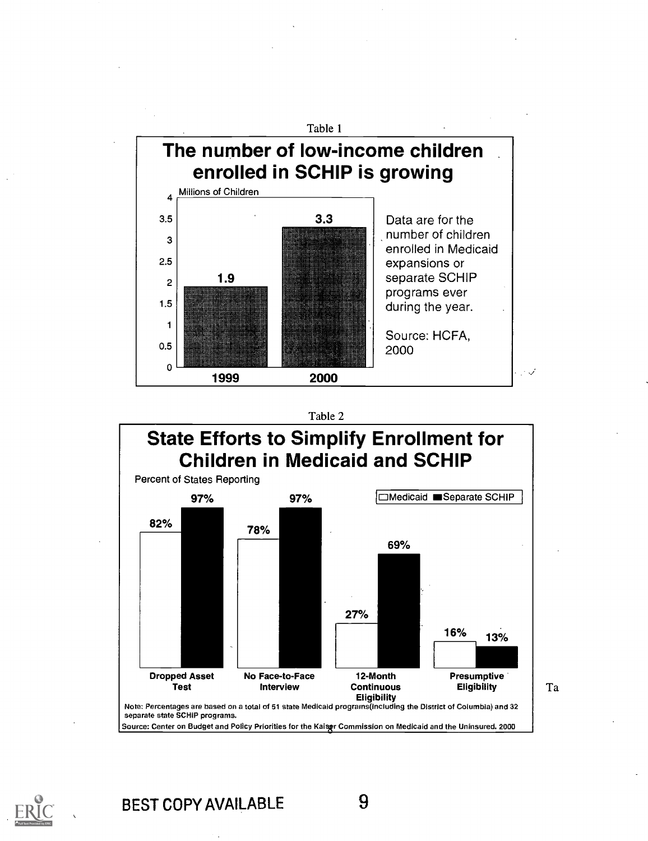

#### Table 2



Ta

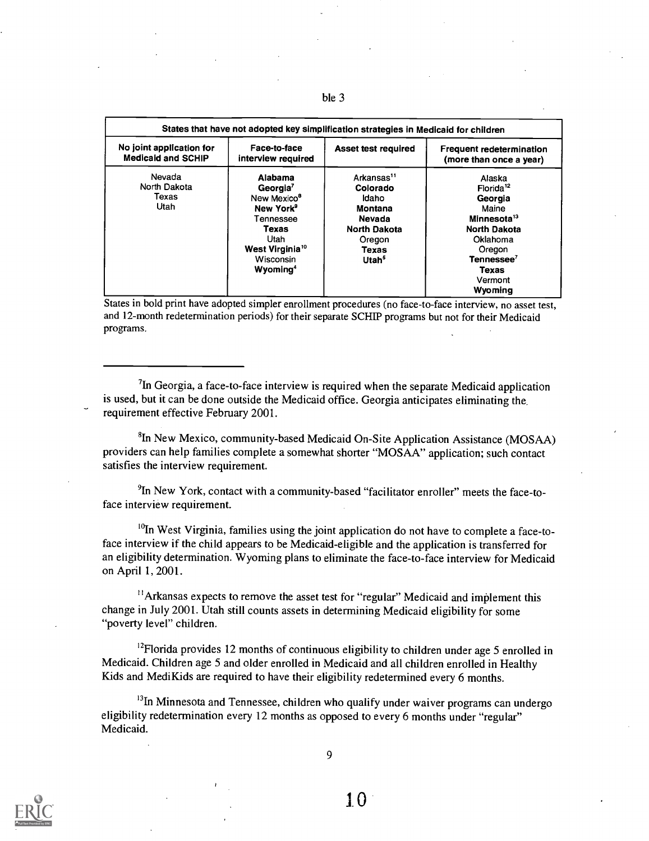| No joint application for                | Face-to-face                                                                                                                                                                                 | <b>Asset test required</b>                                                                                                      | Frequent redetermination                                                                                                                                                  |
|-----------------------------------------|----------------------------------------------------------------------------------------------------------------------------------------------------------------------------------------------|---------------------------------------------------------------------------------------------------------------------------------|---------------------------------------------------------------------------------------------------------------------------------------------------------------------------|
| <b>Medicald and SCHIP</b>               | interview required                                                                                                                                                                           |                                                                                                                                 | (more than once a year)                                                                                                                                                   |
| Nevada<br>North Dakota<br>Texas<br>Utah | Alabama<br>Georgia <sup>7</sup><br>New Mexico <sup>8</sup><br>New York <sup>9</sup><br>Tennessee<br>Texas<br>Utah<br>West Virginia <sup>10</sup><br><b>Wisconsin</b><br>Wyoming <sup>4</sup> | Arkansas <sup>11</sup><br>Colorado<br>Idaho<br>Montana<br>Nevada<br><b>North Dakota</b><br>Oregon<br>Texas<br>Utah <sup>5</sup> | Alaska<br>Florida <sup>12</sup><br>Georgia<br>Maine<br>Minnesota <sup>13</sup><br><b>North Dakota</b><br>Oklahoma<br>Oregon<br>Tennessee <sup>7</sup><br>Texas<br>Vermont |

ble 3

States in bold print have adopted simpler enrollment procedures (no face-to-face interview, no asset test, and 12-month redetermination periods) for their separate SCHIP programs but not for their Medicaid programs.

 ${}^{7}$ In Georgia, a face-to-face interview is required when the separate Medicaid application is used, but it can be done outside the Medicaid office. Georgia anticipates eliminating the requirement effective February 2001.

<sup>8</sup>In New Mexico, community-based Medicaid On-Site Application Assistance (MOSAA) providers can help families complete a somewhat shorter "MOSAA" application; such contact satisfies the interview requirement.

'In New York, contact with a community-based "facilitator enroller" meets the face-toface interview requirement.

 $^{10}$ In West Virginia, families using the joint application do not have to complete a face-toface interview if the child appears to be Medicaid-eligible and the application is transferred for an eligibility determination. Wyoming plans to eliminate the face-to-face interview for Medicaid on April 1, 2001.

"Arkansas expects to remove the asset test for "regular" Medicaid and implement this change in July 2001. Utah still counts assets in determining Medicaid eligibility for some "poverty level" children.

<sup>12</sup>Florida provides 12 months of continuous eligibility to children under age 5 enrolled in Medicaid. Children age 5 and older enrolled in Medicaid and all children enrolled in Healthy Kids and MediKids are required to have their eligibility redetermined every 6 months.

<sup>13</sup>In Minnesota and Tennessee, children who qualify under waiver programs can undergo eligibility redetermination every 12 months as opposed to every 6 months under "regular" Medicaid.

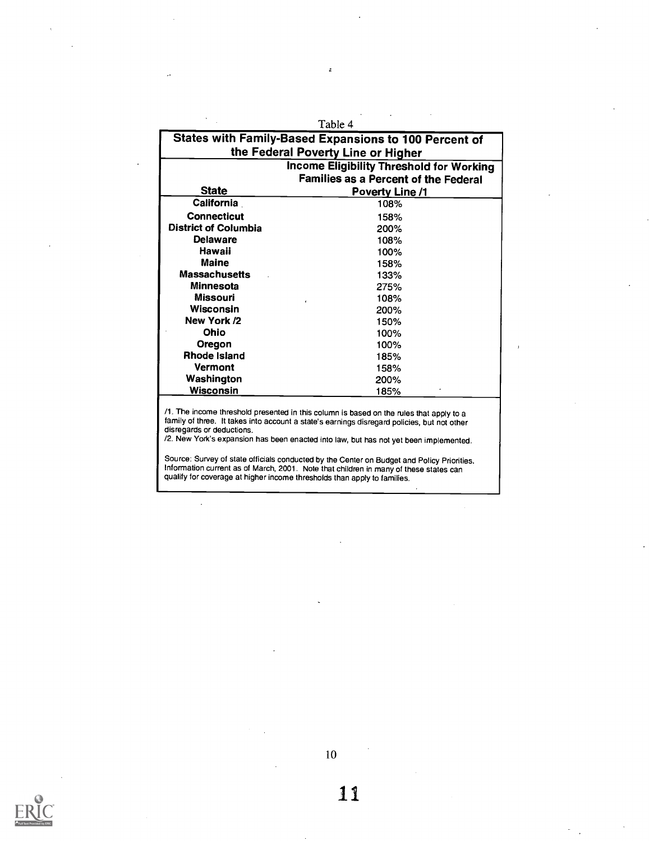|                             | Table 4<br><b>States with Family-Based Expansions to 100 Percent of</b>                                                                                                                                                                                                         |  |  |  |  |
|-----------------------------|---------------------------------------------------------------------------------------------------------------------------------------------------------------------------------------------------------------------------------------------------------------------------------|--|--|--|--|
|                             | the Federal Poverty Line or Higher                                                                                                                                                                                                                                              |  |  |  |  |
|                             | <b>Income Eligibility Threshold for Working</b>                                                                                                                                                                                                                                 |  |  |  |  |
|                             | <b>Families as a Percent of the Federal</b>                                                                                                                                                                                                                                     |  |  |  |  |
| <b>State</b>                | Poverty Line /1                                                                                                                                                                                                                                                                 |  |  |  |  |
| California                  | 108%                                                                                                                                                                                                                                                                            |  |  |  |  |
| <b>Connecticut</b>          | 158%                                                                                                                                                                                                                                                                            |  |  |  |  |
| <b>District of Columbia</b> | 200%                                                                                                                                                                                                                                                                            |  |  |  |  |
| <b>Delaware</b>             | 108%                                                                                                                                                                                                                                                                            |  |  |  |  |
| Hawaii                      | 100%                                                                                                                                                                                                                                                                            |  |  |  |  |
| Maine                       | 158%                                                                                                                                                                                                                                                                            |  |  |  |  |
| <b>Massachusetts</b>        | 133%                                                                                                                                                                                                                                                                            |  |  |  |  |
| Minnesota                   | 275%                                                                                                                                                                                                                                                                            |  |  |  |  |
| <b>Missouri</b>             | 108%                                                                                                                                                                                                                                                                            |  |  |  |  |
| Wisconsin                   | 200%                                                                                                                                                                                                                                                                            |  |  |  |  |
| New York /2                 | 150%                                                                                                                                                                                                                                                                            |  |  |  |  |
| Ohio                        | 100%                                                                                                                                                                                                                                                                            |  |  |  |  |
| Oregon                      | 100%                                                                                                                                                                                                                                                                            |  |  |  |  |
| Rhode Island                | 185%                                                                                                                                                                                                                                                                            |  |  |  |  |
| <b>Vermont</b>              | 158%                                                                                                                                                                                                                                                                            |  |  |  |  |
| Washington                  | 200%                                                                                                                                                                                                                                                                            |  |  |  |  |
| Wisconsin                   | 185%                                                                                                                                                                                                                                                                            |  |  |  |  |
| disregards or deductions.   | /1. The income threshold presented in this column is based on the rules that apply to a<br>family of three. It takes into account a state's earnings disregard policies, but not other<br>/2. New York's expansion has been enacted into law, but has not yet been implemented. |  |  |  |  |
|                             | Source: Survey of state officials conducted by the Center on Budget and Policy Priorities.<br>Information current as of March, 2001. Note that children in many of these states can                                                                                             |  |  |  |  |

ż

qualify for coverage at higher income thresholds than apply to families.

 $\overline{\phantom{a}}$